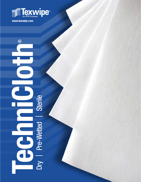

**www.texwipe.com**

®

# **Technicloth** д Dry | Pre-Wetted | Sterile Dry | Pre-Wetted | Sterile Ξ U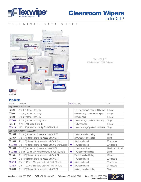

# Cleanroom Wipers TechniCloth<sup>®</sup>

# TECHNICAL DATA SHEET



TechniCloth® 45% Polyester / 55% Cellulose

#### **Products**

| Number                                     | Description                                                   | <b>Sterile</b> | Packaging                                | Case                    |  |  |
|--------------------------------------------|---------------------------------------------------------------|----------------|------------------------------------------|-------------------------|--|--|
| Dry Wipers $-$ TechniCloth®                |                                                               |                |                                          |                         |  |  |
| <b>TX604</b>                               | $4''$ x $4''$ (10 cm x 10 cm) dry                             |                | 1,200 wipers/bag (4 packs of 300 wipers) | 10 bags                 |  |  |
| <b>TX606</b>                               | $6''$ x $6''$ (15 cm x 15 cm) dry                             |                | 600 wipers/bag (2 packs of 300 wipers)   | 10 bags                 |  |  |
| <b>TX609</b>                               | 9" x 9" (23 cm x 23 cm) dry                                   |                | 300 wipers/bag                           | 10 bags                 |  |  |
| <b>STX609</b>                              | 9" x 9" (23 cm x 23 cm) dry, sterile                          | $\bullet$      | 100 wiper/bag (4 packs of 25 wipers)     | 5 bags                  |  |  |
| <b>TX612</b>                               | 12" x 12" (31 cm x 31 cm) dry                                 |                | 150 wipers/bag                           | 10 bags                 |  |  |
| <b>TX3210</b>                              | 12" x 12" (31 cm x 31 cm) dry, SterileWipe™ HS II             | $\bullet$      | 100 wipers/bag (5 packs of 20 wipers)    | 5 bags                  |  |  |
| Pre-Wetted Wipers - TechniSat <sup>®</sup> |                                                               |                |                                          |                         |  |  |
| <b>TX1045</b>                              | 6" x 8" (15 cm x 20 cm) pre-wetted with 70% IPA               |                | 100 wipers/reclosable bag                | 12 bags                 |  |  |
| <b>TX1067</b>                              | 7" x 11" (18 cm x 28 cm) pre-wetted with 70% IPA              |                | 200 wipers/reclosable bag                | 4 bags                  |  |  |
| <b>TX1068</b>                              | 7" x 11" (18 cm x 28 cm) pre-wetted with 70% Ethanol          |                | 50 wipers/flexpack                       | 20 flexpacks            |  |  |
| <b>STX1068</b>                             | 7" x 11" (18 cm x 28 cm) pre-wetted with 70% Ethanol, sterile | Œ              | 50 wipers/flexpack                       | 20 flexpacks            |  |  |
| <b>TX1048</b>                              | 8" x 5" (20 cm x 13 cm) pre-wetted with 6% IPA                |                | 210 wipers/refill pack                   | 12 refill packs & 1 tub |  |  |
| <b>STX1041</b>                             | 8" x 5.5" (20 cm x 14 cm) pre-wetted with 70% IPA, sterile    |                | 50 wipers/reclosable bag                 | 8 bags                  |  |  |
| <b>TX1041</b>                              | 9" x 11" (23 cm x 28 cm) pre-wetted with 70% IPA              |                | 70 wipers/reclosable bag                 | 12 bags                 |  |  |
| <b>TX1065</b>                              | 9" x 11" (23 cm x 28 cm) pre-wetted with 70% IPA              |                | 50 wipers/flexpack                       | 20 flexpacks            |  |  |
| <b>TX3214</b>                              | 9" x 11" (23 cm x 28 cm) pre-wetted with 70% IPA, sterile     |                | 50 wipers/flexpack                       | 20 flexpacks            |  |  |
| <b>TX3217</b>                              | 9" x 11" (23 cm x 28 cm) pre-wetted with 70% IPA, sterile     | O              | 20 wipers/flexpack                       | 24 flexpacks            |  |  |
| <b>TX8488</b>                              | 9" x 11" (23 cm x 28 cm) pre-wetted with 6% IPA               |                | 300 wipers/reclosable bag                | 3 bags                  |  |  |

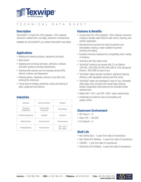

# TECHNICAL DATA SHEET

# **Description**

TechniCloth® is made from 45% polyester / 55% cellulose nonwoven material with a cut edge, cleanroom manufactured.

Available dry (TechniCloth®), pre-wetted (TechniSat®) and sterile.

### **Applications**

- Wiping and cleaning surfaces, equipment and parts.
- Spill control.
- Applying and removing lubricants, adhesives, residues and other solutions including disinfectants.
- Cleaning with solvents such as isopropyl alcohol (IPA), ethanol, acetone, and degreasers.
- Cleaning gloves, notebooks, phones or any other item entering the cleanroom.
- Lining trays for holding, protecting, drying and storing of parts, equipment and devices.

### **Industries**

| Aerospace                     | Animal Laboratory         | <b>Biologics</b>           |
|-------------------------------|---------------------------|----------------------------|
| Cleanroom<br>Design/Build     | Compounding<br>Pharmacies | Data Storage               |
| <b>Facilities Maintenance</b> | Industrial                | Laboratory                 |
| Medical Device                | Microelectronics          | Pharmaceutical             |
| Printing/Graphics             | Semiconductor             | USP < 797 > /<br>USP < 800 |

# **Features & Benefits**

- Constructed from 45% polyester / 55% cellulose nonwoven creating a durable wiper ideal for spill control, cleaning, and solution application.
- Manufactured to provide low levels of particles and extractables creating a wiper suitable for general cleaning and wiping.
- Excellent chemical resistance for compatibility with a variety of solutions.
- Autoclave safe (dry wipers only).
- TechniSat® products are prewet with 0.2 µm filtered 70% IPA / 30% DIW, 6% IPA/ 94% DIW or 70% Denatured Ethanol / 30% DIW for ease of use.
- TechniSat<sup>®</sup> wipers provide consistent, optimized cleaning efficiency with repeatable wetness and VOC levels.
- TechniSat® wipers are packaged in easy-to-use, reclosable slider bags, tubs, and peel-and-reseal bags reducing solution evaporation that preserves the consistent wiper wetness level.
- Meets USP <797> and USP <800> wiper requirements.
- Individually lot coded for ease of traceability and quality control.

### **Cleanroom Environment**

- ISO Class  $5 8$
- Class 100 100,000
- $\bullet$  FU Grade  $B D$

### **Shelf Life**

- Non-Sterile (Dry)  $-5$  years from date of manufacture
- Non-Sterile (Pre-Wetted)  $-3$  years from date of manufacture
- TX8488 1 year from date of manufacture
- Sterile (Dry & Pre-Wetted) 3 years from date of manufacture

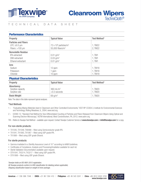

# TECHNICAL DATA SHEET

#### Performance Characteristics

| Property                    | <b>Typical Value</b>                      | Test Method* |
|-----------------------------|-------------------------------------------|--------------|
| <b>Particles and Fibers</b> |                                           |              |
| LPC: $\geq 0.5$ µm          | $72 \times 10^6$ particles/m <sup>2</sup> | 1, TM22      |
| Fibers: $>100 \mu m$        | $55,000$ fibers/m <sup>2</sup>            | 2, TM22      |
| <b>Nonvolatile Residue</b>  |                                           |              |
| IPA extractant              | $0.01$ g/m <sup>2</sup>                   | 1, TM1       |
| DIW extractant              | $0.03$ g/m <sup>2</sup>                   | 1, TM1       |
| Ethanol extractant          | $0.01$ g/m <sup>2</sup>                   | 1, TM1       |
| <b>lons</b>                 |                                           |              |
| Sodium                      | 12 ppm                                    | 1, TM18      |
| Potassium                   | ppm                                       | 1, TM18      |
| Chloride                    | 10 ppm                                    | 1, TM18      |

#### Physical Characteristics

| <b>Property</b>                                  | <b>Typical Value</b>                    | Test Method*       |
|--------------------------------------------------|-----------------------------------------|--------------------|
| Absorbency<br>Sorptive capacity<br>Sorptive rate | $360 \text{ mL/m}^2$<br>$<$ 0.3 seconds | 1, TM20<br>1, TM20 |
| <b>Basis Weight</b>                              | $69 \,\mathrm{g/m^2}$                   | 1. TM20            |

Note: The data in this table represent typical analyses.

#### \*Test Methods

- 1 "Evaluating Wiping Materials Used in Cleanroom and Other Controlled Environments," IEST-RP-CC004.3, Institute for Environmental Sciences and Technology, Rolling Meadows, IL, 2004; www.iest.org.
- 2 E2090-12, "Standard Test Method for Size-Differentiated Counting of Particles and Fibers Released from Cleanroom Wipers Using Optical and Scanning Electron Microscopy," ASTM International, West Conshohocken, PA, 2012; www.astm.org.
- TM Refers to Texwipe Test Method available upon request. Contact Texwipe Customer Service at **www.texwipe.com** or **info@texwipe.com** for a copy.

#### For non-sterile products:

- TX1045, TX1048, TX8488 filled using Semiconductor grade IPA.
- TX1041, TX1065, TX1067 filled using USP grade IPA.
- TX1068 filled using USP grade Ethanol.

#### For sterile products:

- Gamma irradiated to a Sterility Assurance Level of 10<sup>-6</sup> according to AAMI Guidelines.
- Certificates of Compliance, Analysis and Processing/Irradiation available for each lot.
- Sterile Validation Documentation available upon request.
- STX1041, TX3214, TX3217 filled using USP grade IPA.
- STX1068 filled using USP grade Ethanol.

*Texwipe holds an ISO 9001:2015 registration. All Texwipe products conform to GHS classification for labeling (where applicable). Shipping classification based on weight of inner package.*